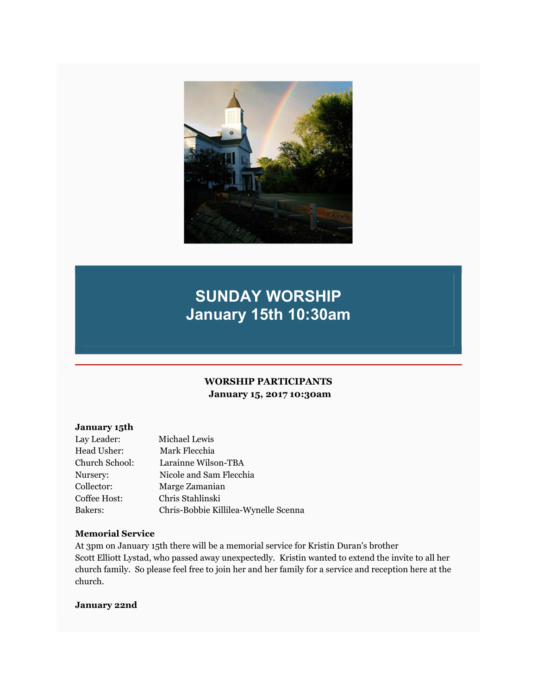

# SUNDAY WORSHIP January 15th 10:30am

## WORSHIP PARTICIPANTS January 15, 2017 10:30am

#### January 15th

| Lay Leader:    | Michael Lewis                        |
|----------------|--------------------------------------|
| Head Usher:    | Mark Flecchia                        |
| Church School: | Larainne Wilson-TBA                  |
| Nursery:       | Nicole and Sam Flecchia              |
| Collector:     | Marge Zamanian                       |
| Coffee Host:   | Chris Stahlinski                     |
| Bakers:        | Chris-Bobbie Killilea-Wynelle Scenna |

#### Memorial Service

At 3pm on January 15th there will be a memorial service for Kristin Duran's brother Scott Elliott Lystad, who passed away unexpectedly. Kristin wanted to extend the invite to all her church family. So please feel free to join her and her family for a service and reception here at the church.

#### January 22nd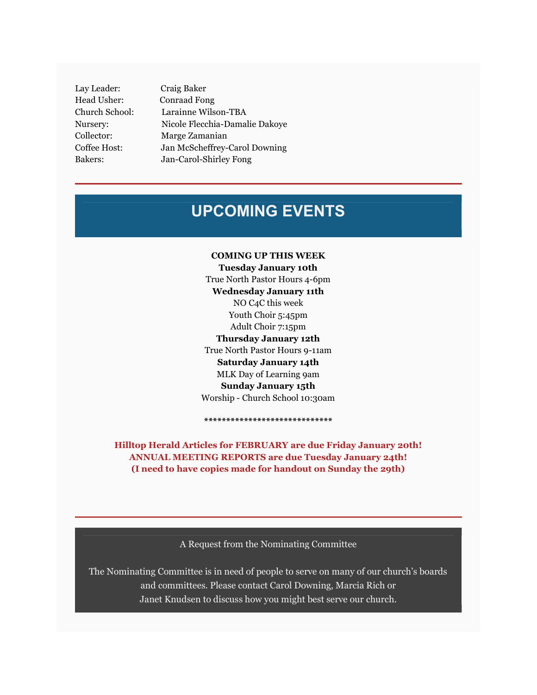Lay Leader: Craig Baker Head Usher: Conraad Fong

Church School: Larainne Wilson-TBA Nursery: Nicole Flecchia-Damalie Dakoye Collector: Marge Zamanian Coffee Host: Jan McScheffrey-Carol Downing Bakers: Jan-Carol-Shirley Fong

## UPCOMING EVENTS

COMING UP THIS WEEK Tuesday January 10th True North Pastor Hours 4-6pm Wednesday January 11th NO C4C this week Youth Choir 5:45pm Adult Choir 7:15pm Thursday January 12th True North Pastor Hours 9-11am Saturday January 14th MLK Day of Learning 9am Sunday January 15th Worship - Church School 10:30am

Hilltop Herald Articles for FEBRUARY are due Friday January 20th! ANNUAL MEETING REPORTS are due Tuesday January 24th! (I need to have copies made for handout on Sunday the 29th)

\*\*\*\*\*\*\*\*\*\*\*\*\*\*\*\*\*\*\*\*\*\*\*\*\*\*\*\*\*

A Request from the Nominating Committee

The Nominating Committee is in need of people to serve on many of our church's boards and committees. Please contact Carol Downing, Marcia Rich or Janet Knudsen to discuss how you might best serve our church.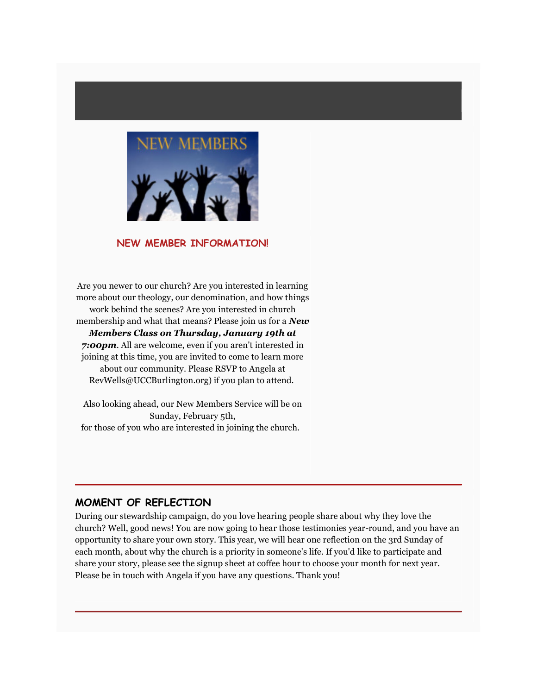

#### NEW MEMBER INFORMATION!

Are you newer to our church? Are you interested in learning more about our theology, our denomination, and how things work behind the scenes? Are you interested in church membership and what that means? Please join us for a **New** Members Class on Thursday, January 19th at 7:00pm. All are welcome, even if you aren't interested in joining at this time, you are invited to come to learn more about our community. Please RSVP to Angela at RevWells@UCCBurlington.org) if you plan to attend.

Also looking ahead, our New Members Service will be on Sunday, February 5th, for those of you who are interested in joining the church.

#### MOMENT OF REFLECTION

During our stewardship campaign, do you love hearing people share about why they love the church? Well, good news! You are now going to hear those testimonies year-round, and you have an opportunity to share your own story. This year, we will hear one reflection on the 3rd Sunday of each month, about why the church is a priority in someone's life. If you'd like to participate and share your story, please see the signup sheet at coffee hour to choose your month for next year. Please be in touch with Angela if you have any questions. Thank you!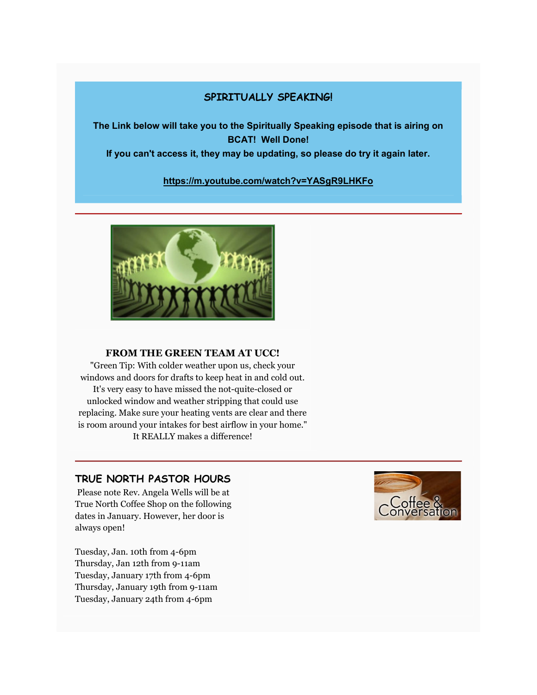## SPIRITUALLY SPEAKING!

The Link below will take you to the Spiritually Speaking episode that is airing on BCAT! Well Done!

If you can't access it, they may be updating, so please do try it again later.

### https://m.youtube.com/watch?v=YASgR9LHKFo



#### FROM THE GREEN TEAM AT UCC!

"Green Tip: With colder weather upon us, check your windows and doors for drafts to keep heat in and cold out. It's very easy to have missed the not-quite-closed or unlocked window and weather stripping that could use replacing. Make sure your heating vents are clear and there is room around your intakes for best airflow in your home." It REALLY makes a difference!

## TRUE NORTH PASTOR HOURS

 Please note Rev. Angela Wells will be at True North Coffee Shop on the following dates in January. However, her door is always open!

Tuesday, Jan. 10th from 4-6pm Thursday, Jan 12th from 9-11am Tuesday, January 17th from 4-6pm Thursday, January 19th from 9-11am Tuesday, January 24th from 4-6pm

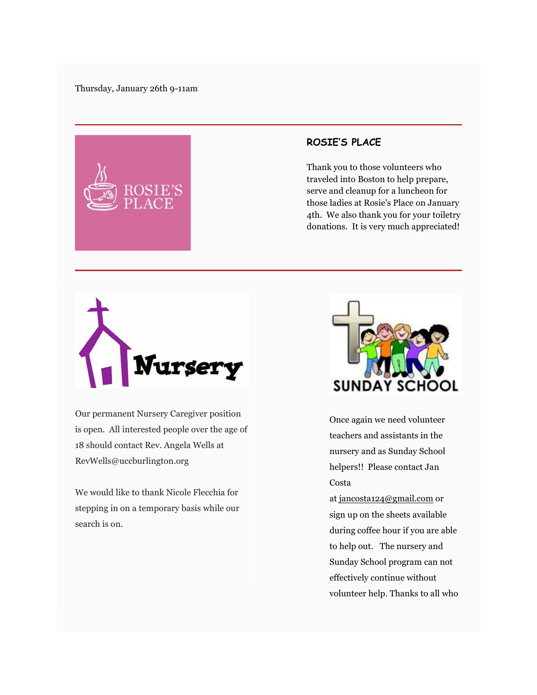

## ROSIE'S PLACE

Thank you to those volunteers who traveled into Boston to help prepare, serve and cleanup for a luncheon for those ladies at Rosie's Place on January 4th. We also thank you for your toiletry donations. It is very much appreciated!



Our permanent Nursery Caregiver position is open. All interested people over the age of 18 should contact Rev. Angela Wells at RevWells@uccburlington.org

We would like to thank Nicole Flecchia for stepping in on a temporary basis while our search is on.



Once again we need volunteer teachers and assistants in the nursery and as Sunday School helpers!! Please contact Jan Costa

at jancosta124@gmail.com or sign up on the sheets available during coffee hour if you are able to help out. The nursery and Sunday School program can not effectively continue without volunteer help. Thanks to all who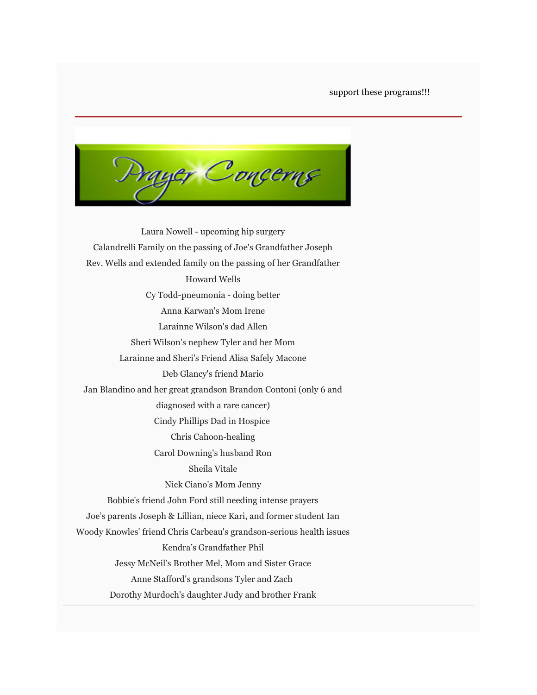support these programs!!!

yer Concerns

Laura Nowell - upcoming hip surgery Calandrelli Family on the passing of Joe's Grandfather Joseph Rev. Wells and extended family on the passing of her Grandfather Howard Wells Cy Todd-pneumonia - doing better Anna Karwan's Mom Irene Larainne Wilson's dad Allen Sheri Wilson's nephew Tyler and her Mom Larainne and Sheri's Friend Alisa Safely Macone Deb Glancy's friend Mario Jan Blandino and her great grandson Brandon Contoni (only 6 and diagnosed with a rare cancer) Cindy Phillips Dad in Hospice Chris Cahoon-healing Carol Downing's husband Ron Sheila Vitale Nick Ciano's Mom Jenny Bobbie's friend John Ford still needing intense prayers Joe's parents Joseph & Lillian, niece Kari, and former student Ian Woody Knowles' friend Chris Carbeau's grandson-serious health issues Kendra's Grandfather Phil Jessy McNeil's Brother Mel, Mom and Sister Grace Anne Stafford's grandsons Tyler and Zach Dorothy Murdoch's daughter Judy and brother Frank